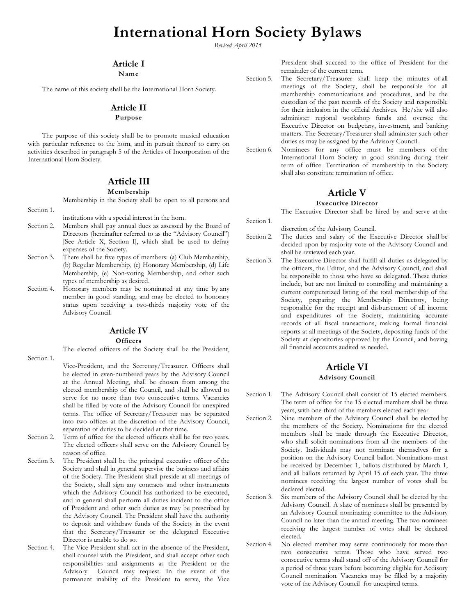# **International Horn Society Bylaws**

*Revised April 2015*

# **Article I**

### **Name**

The name of this society shall be the International Horn Society.

### **Article II**

### **Purpose**

The purpose of this society shall be to promote musical education with particular reference to the horn, and in pursuit thereof to carry on activities described in paragraph 5 of the Articles of Incorporation of the International Horn Society.

## **Article III**

#### **Membership**

Membership in the Society shall be open to all persons and

institutions with a special interest in the horn.

- Section 2. Members shall pay annual dues as assessed by the Board of Directors (hereinafter referred to as the "Advisory Council") [See Article X, Section I], which shall be used to defray expenses of the Society.
- Section 3. There shall be five types of members: (a) Club Membership, (b) Regular Membership, (c) Honorary Membership, (d) Life Membership, (e) Non-voting Membership, and other such types of membership as desired.
- Section 4. Honorary members may be nominated at any time by any member in good standing, and may be elected to honorary status upon receiving a two-thirds majority vote of the Advisory Council.

### **Article IV**

#### **Officers**

The elected officers of the Society shall be the President,

Section 1.

Section 1.

- Vice-President, and the Secretary/Treasurer. Officers shall be elected in even-numbered years by the Advisory Council at the Annual Meeting, shall be chosen from among the elected membership of the Council, and shall be allowed to serve for no more than two consecutive terms. Vacancies shall be filled by vote of the Advisory Council for unexpired terms. The office of Secretary/Treasurer may be separated into two offices at the discretion of the Advisory Council, separation of duties to be decided at that time.
- Section 2. Term of office for the elected officers shall be for two years. The elected officers shall serve on the Advisory Council by reason of office.
- Section 3. The President shall be the principal executive officer of the Society and shall in general supervise the business and affairs of the Society. The President shall preside at all meetings of the Society, shall sign any contracts and other instruments which the Advisory Council has authorized to be executed, and in general shall perform all duties incident to the office of President and other such duties as may be prescribed by the Advisory Council. The President shall have the authority to deposit and withdraw funds of the Society in the event that the Secretary/Treasurer or the delegated Executive Director is unable to do so.
- Section 4. The Vice President shall act in the absence of the President, shall counsel with the President, and shall accept other such responsibilities and assignments as the President or the Advisory Council may request. In the event of the permanent inability of the President to serve, the Vice

President shall succeed to the office of President for the remainder of the current term.

- Section 5. The Secretary/Treasurer shall keep the minutes of all meetings of the Society, shall be responsible for all membership communications and procedures, and be the custodian of the past records of the Society and responsible for their inclusion in the official Archives. He/she will also administer regional workshop funds and oversee the Executive Director on budgetary, investment, and banking matters. The Secretary/Treasurer shall administer such other duties as may be assigned by the Advisory Council.
- Section 6. Nominees for any office must be members of the International Horn Society in good standing during their term of office. Termination of membership in the Society shall also constitute termination of office.

### **Article V**

#### **Executive Director**

The Executive Director shall be hired by and serve at the

discretion of the Advisory Council.

Section 1.

- Section 2. The duties and salary of the Executive Director shall be decided upon by majority vote of the Advisory Council and shall be reviewed each year.
- Section 3. The Executive Director shall fulfill all duties as delegated by the officers, the Editor, and the Advisory Council, and shall be responsible to those who have so delegated. These duties include, but are not limited to controlling and maintaining a current computerized listing of the total membership of the Society, preparing the Membership Directory, being responsible for the receipt and disbursement of all income and expenditures of the Society, maintaining accurate records of all fiscal transactions, making formal financial reports at all meetings of the Society, depositing funds of the Society at depositories approved by the Council, and having all financial accounts audited as needed.

### **Article VI Advisory Council**

- Section 1. The Advisory Council shall consist of 15 elected members*.* The term of office for the 15 elected members shall be three years, with one-third of the members elected each year.
- Section 2. Nine members of the Advisory Council shall be elected by the members of the Society. Nominations for the elected members shall be made through the Executive Director, who shall solicit nominations from all the members of the Society. Individuals may not nominate themselves for a position on the Advisory Council ballot. Nominations must be received by December 1, ballots distributed by March 1, and all ballots returned by April 15 of each year. The three nominees receiving the largest number of votes shall be declared elected.
- Section 3. Six members of the Advisory Council shall be elected by the Advisory Council. A slate of nominees shall be presented by an Advisory Council nominating committee to the Advisory Council no later than the annual meeting. The two nominees receiving the largest number of votes shall be declared elected.
- Section 4. No elected member may serve continuously for more than two consecutive terms. Those who have served two consecutive terms shall stand off of the Advisory Council for a period of three years before becoming eligible for Acdisory Council nomination. Vacancies may be filled by a majority vote of the Advisory Council for unexpired terms.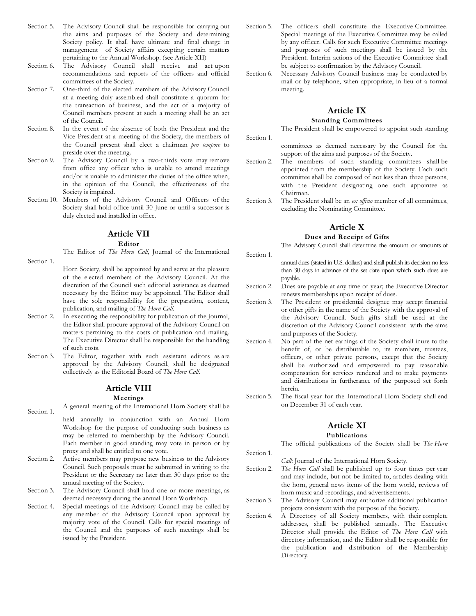- Section 5. The Advisory Council shall be responsible for carrying out the aims and purposes of the Society and determining Society policy. It shall have ultimate and final charge in management of Society affairs excepting certain matters pertaining to the Annual Workshop. (see Article XII)
- Section 6. The Advisory Council shall receive and act upon recommendations and reports of the officers and official committees of the Society.
- Section 7. One-third of the elected members of the Advisory Council at a meeting duly assembled shall constitute a quorum for the transaction of business, and the act of a majority of Council members present at such a meeting shall be an act of the Council.
- Section 8. In the event of the absence of both the President and the Vice President at a meeting of the Society, the members of the Council present shall elect a chairman *pro tempore* to preside over the meeting.
- Section 9. The Advisory Council by a two-thirds vote may remove from office any officer who is unable to attend meetings and/or is unable to administer the duties of the office when, in the opinion of the Council, the effectiveness of the Society is impaired.
- Section 10. Members of the Advisory Council and Officers of the Society shall hold office until 30 June or until a successor is duly elected and installed in office.

### **Article VII**

#### **Editor**

The Editor of *The Horn Call,* Journal of the International

- Section 1. Horn Society, shall be appointed by and serve at the pleasure of the elected members of the Advisory Council. At the discretion of the Council such editorial assistance as deemed necessary by the Editor may be appointed. The Editor shall have the sole responsibility for the preparation, content, publication, and mailing of *The Horn Call.*
- Section 2. In executing the responsibility for publication of the Journal, the Editor shall procure approval of the Advisory Council on matters pertaining to the costs of publication and mailing. The Executive Director shall be responsible for the handling of such costs.
- Section 3. The Editor, together with such assistant editors as are approved by the Advisory Council, shall be designated collectively as the Editorial Board of *The Horn Call.*

### **Article VIII**

#### **Meetings**

- Section 1 A general meeting of the International Horn Society shall be
- held annually in conjunction with an Annual Horn Workshop for the purpose of conducting such business as may be referred to membership by the Advisory Council. Each member in good standing may vote in person or by proxy and shall be entitled to one vote.
- Section 2. Active members may propose new business to the Advisory Council. Such proposals must be submitted in writing to the President or the Secretary no later than 30 days prior to the annual meeting of the Society.
- Section 3. The Advisory Council shall hold one or more meetings, as deemed necessary during the annual Horn Workshop.
- Section 4. Special meetings of the Advisory Council may be called by any member of the Advisory Council upon approval by majority vote of the Council. Calls for special meetings of the Council and the purposes of such meetings shall be issued by the President.
- Section 5. The officers shall constitute the Executive Committee. Special meetings of the Executive Committee may be called by any officer. Calls for such Executive Committee meetings and purposes of such meetings shall be issued by the President. Interim actions of the Executive Committee shall be subject to confirmation by the Advisory Council.
- Section 6. Necessary Advisory Council business may be conducted by mail or by telephone, when appropriate, in lieu of a formal meeting.

### **Article IX**

### **Standing Committees**

Section 1. The President shall be empowered to appoint such standing

committees as deemed necessary by the Council for the support of the aims and purposes of the Society.

- Section 2. The members of such standing committees shall be appointed from the membership of the Society. Each such committee shall be composed of not less than three persons, with the President designating one such appointee as Chairman.
- Section 3. The President shall be an *ex officio* member of all committees, excluding the Nominating Committee.

### **Article X**

### **Dues and Receipt of Gifts**

The Advisory Council shall determine the amount or amounts of

- Section 1. annual dues (stated in U.S. dollars) and shall publish its decision no less than 30 days in advance of the set date upon which such dues are payable.
- Section 2. Dues are payable at any time of year; the Executive Director renews memberships upon receipt of dues.
- Section 3. The President or presidential designee may accept financial or other gifts in the name of the Society with the approval of the Advisory Council. Such gifts shall be used at the discretion of the Advisory Council consistent with the aims and purposes of the Society.
- Section 4. No part of the net earnings of the Society shall inure to the benefit of, or be distributable to, its members, trustees, officers, or other private persons, except that the Society shall be authorized and empowered to pay reasonable compensation for services rendered and to make payments and distributions in furtherance of the purposed set forth herein.
- Section 5. The fiscal year for the International Horn Society shall end on December 31 of each year.

### **Article XI**

### **Publications**

Section 1. The official publications of the Society shall be *The Horn*

*Call*: Journal of the International Horn Society.

- Section 2. *The Horn Call* shall be published up to four times per year and may include, but not be limited to, articles dealing with the horn, general news items of the horn world, reviews of horn music and recordings, and advertisements.
- Section 3. The Advisory Council may authorize additional publication projects consistent with the purpose of the Society.
- Section 4. A Directory of all Society members, with their complete addresses, shall be published annually. The Executive Director shall provide the Editor of *The Horn Call* with directory information, and the Editor shall be responsible for the publication and distribution of the Membership Directory.